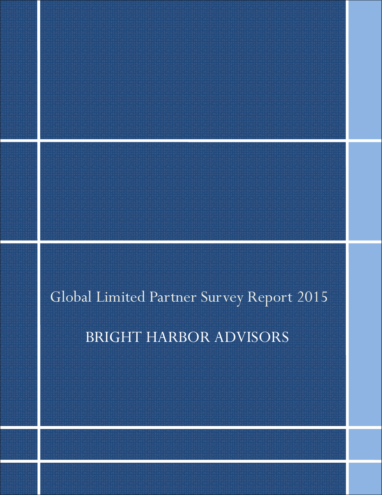# Global Limited Partner Survey Report 2015

# BRIGHT HARBOR ADVISORS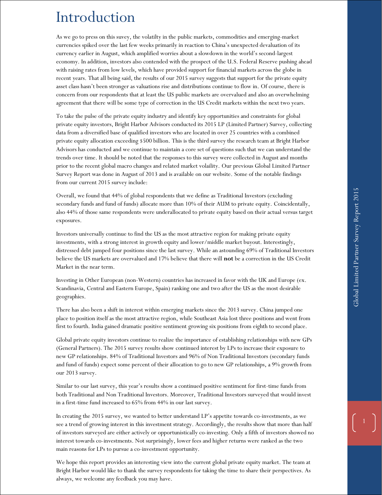# Global Limited Partner Survey Report 2015 Global Limited Partner Survey Report 2015

# Introduction

As we go to press on this suvey, the volatilty in the public markets, commodities and emerging-market currencies spiked over the last few weeks primarily in reaction to China's unexpected devaluation of its currency earlier in August, which amplified worries about a slowdown in the world's second-largest economy. In addition, investors also contended with the prospect of the U.S. Federal Reserve pushing ahead with raising rates from low levels, which have provided support for financial markets across the globe in recent years. That all being said, the results of our 2015 survey suggests that support for the private equity asset class hasn't been stronger as valuations rise and distributions continue to flow in. Of course, there is concern from our respondents that at least the US public markets are overvalued and also an overwhelming agreement that there will be some type of correction in the US Credit markets within the next two years.

To take the pulse of the private equity industry and identify key opportunities and constraints for global private equity investors, Bright Harbor Advisors conducted its 2015 LP (Limited Partner) Survey, collecting data from a diversified base of qualified investors who are located in over 25 countries with a combined private equity allocation exceeding \$500 billion. This is the third survey the research team at Bright Harbor Advisors has conducted and we continue to maintain a core set of questions such that we can understand the trends over time. It should be noted that the responses to this survey were collected in August and months prior to the recent global macro changes and related market volaility. Our previous Global Limited Partner Survey Report was done in August of 2013 and is available on our website. Some of the notable findings from our current 2015 survey include:

Overall, we found that 44% of global respondents that we define as Traditional Investors (excluding secondary funds and fund of funds) allocate more than 10% of their AUM to private equity. Coincidentally, also 44% of those same respondents were underallocated to private equity based on their actual versus target exposures.

Investors universally continue to find the US as the most attractive region for making private equity investments, with a strong interest in growth equity and lower/middle market buyout. Interestingly, distressed debt jumped four positions since the last survey. While an astounding 69% of Traditional Investors believe the US markets are overvalued and 17% believe that there will **not** be a correction in the US Credit Market in the near term.

Investing in Other European (non-Western) countries has increased in favor with the UK and Europe (ex. Scandinavia, Central and Eastern Europe, Spain) ranking one and two after the US as the most desirable geographies.

There has also been a shift in interest within emerging markets since the 2013 survey. China jumped one place to position itself as the most attractive region, while Southeast Asia lost three positions and went from first to fourth. India gained dramatic positive sentiment growing six positions from eighth to second place.

Global private equity investors continue to realize the importance of establishing relationships with new GPs (General Partners). The 2015 survey results show continued interest by LPs to increase their exposure to new GP relationships. 84% of Traditional Investors and 96% of Non Traditional Investors (secondary funds and fund of funds) expect some percent of their allocation to go to new GP relationships, a 9% growth from our 2013 survey.

Similar to our last survey, this year's results show a continued positive sentiment for first-time funds from both Traditional and Non Traditional Investors. Moreover, Traditional Investors surveyed that would invest in a first-time fund increased to 65% from 44% in our last survey.

In creating the 2015 survey, we wanted to better understand LP's appetite towards co-investments, as we see a trend of growing interest in this investment strategy. Accordingly, the results show that more than half of investors surveyed are either actively or opportunistically co-investing. Only a fifth of investors showed no interest towards co-investments. Not surprisingly, lower fees and higher returns were ranked as the two main reasons for LPs to pursue a co-investment opportunity.

We hope this report provides an interesting view into the current global private equity market. The team at Bright Harbor would like to thank the survey respondents for taking the time to share their perspectives. As always, we welcome any feedback you may have.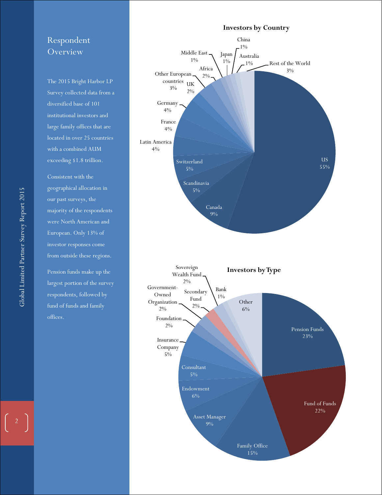# Respondent **Overview**

The 2015 Bright Harbor LP Survey collected data from a diversified base of 101 institutional investors and large family offices that are located in over 25 countries with a combined AUM exceeding \$1.8 trillion.

Latin America  $4%$ 

4%

 $4%$ 

Consistent with the geographical allocation in our past surveys, the majority of the respondents were North American and European. Only 13% of investor responses come from outside these regions.

Pension funds make up the largest portion of the survey respondents, followed by fund of funds and family offices.

#### US 55% Canada 9% Scandinavia 5% Switzerland 5% France Germany countries UK 2% Other European 3% Africa 2% Middle East 1% Japan 1% China 1% Australia 1% Rest of the World 3% **Investors by Country**

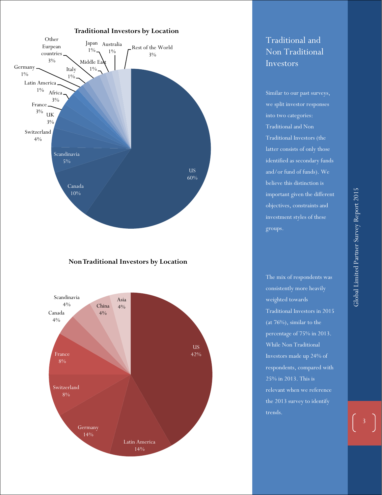

#### **Non Traditional Investors by Location**



# Traditional and Non Traditional Investors

Similar to our past surveys, we split investor responses into two categories: Traditional and Non Traditional Investors (the latter consists of only those identified as secondary funds and/or fund of funds). We believe this distinction is important given the different objectives, constraints and investment styles of these groups.

The mix of respondents was consistently more heavily weighted towards Traditional Investors in 2015 (at 76%), similar to the percentage of 75% in 2013. While Non Traditional Investors made up 24% of respondents, compared with 25% in 2013. This is relevant when we reference the 2013 survey to identify trends.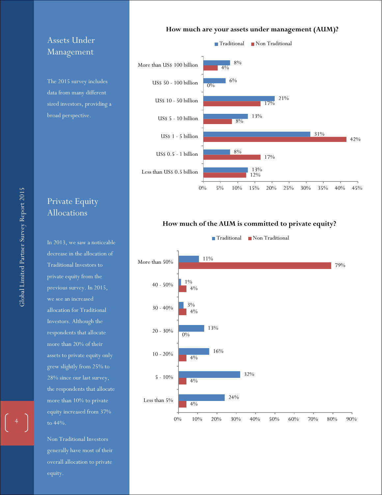# Assets Under Management

The 2015 survey includes data from many different sized investors, providing a broad perspective.

# Private Equity Allocations

In 2013, we saw a noticeable decrease in the allocation of Traditional Investors to private equity from the previous survey. In 2015, we see an increased allocation for Traditional Investors. Although the respondents that allocate more than 20% of their assets to private equity only grew slightly from 25% to 28% since our last survey, the respondents that allocate more than 10% to private equity increased from 37% to 44%.

Non Traditional Investors generally have most of their overall allocation to private equity.

#### **How much are your assets under management (AUM)?**



#### **How much of the AUM is committed to private equity?**

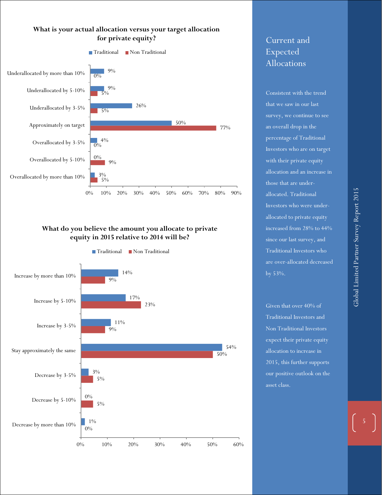#### **What is your actual allocation versus your target allocation for private equity?**



#### **What do you believe the amount you allocate to private equity in 2015 relative to 2014 will be?**



# Current and Expected Allocations

Consistent with the trend that we saw in our last survey, we continue to see an overall drop in the percentage of Traditional Investors who are on target with their private equity allocation and an increase in those that are underallocated. Traditional Investors who were underallocated to private equity increased from 28% to 44% since our last survey, and Traditional Investors who are over-allocated decreased by 53%.

Given that over 40% of Traditional Investors and Non Traditional Investors expect their private equity allocation to increase in 2015, this further supports our positive outlook on the asset class.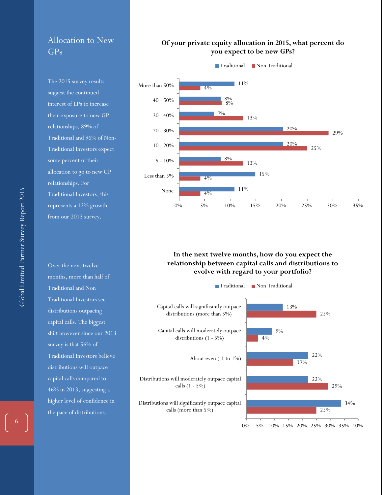# Allocation to New GPs

The 2015 survey results suggest the continued interest of LPs to increase their exposure to new GP relationships. 89% of Traditional and 96% of Non-Traditional Investors expect some percent of their allocation to go to new GP relationships. For Traditional Investors, this represents a 12% growth from our 2013 survey.

Over the next twelve months, more than half of Traditional and Non Traditional Investors see distributions outpacing capital calls. The biggest shift however since our 2013 survey is that 56% of Traditional Investors believe distributions will outpace capital calls compared to 46% in 2013, suggesting a higher level of confidence in the pace of distributions.

#### **Of your private equity allocation in 2015, what percent do you expect to be new GPs?**



#### **In the next twelve months, how do you expect the relationship between capital calls and distributions to evolve with regard to your portfolio?**

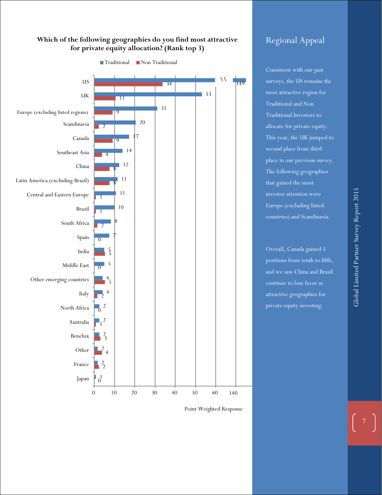#### **Which of the following geographies do you find most attractive for private equity allocation? (Rank top 3)**



Point Weighted Response

# Regional Appeal

Consistent with our past surveys, the US remains the most attractive region for Traditional and Non Traditional Investors to allocate for private equity. This year, the UK jumped to second place from third place in our previous survey. The following geographies that gained the most investor attention were Europe (excluding listed countries) and Scandinavia.

Overall, Canada gained 5 positions from tenth to fifth, and we saw China and Brazil continue to lose favor as attractive geographies for private equity investing.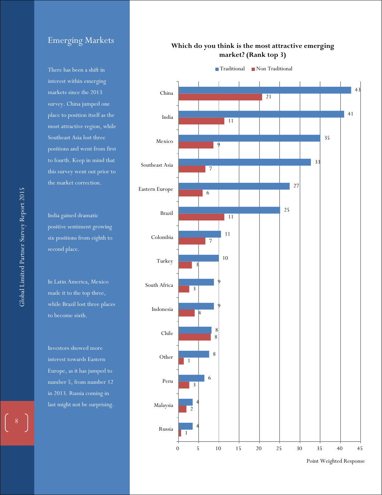# Emerging Markets

There has been a shift in  $\frac{d\hat{\theta}}{dt}$  interest within emerging markets since the  $2013$ survey. China jumped one  $\frac{1}{\pi}$  place to position itself as the .<br>most attractive region, while Southeast Asia lost three positions and went from first .<br>to fourth. Keep in mind that this survey went out prior to the market correction. Emerging Markets<br>There has been a shift in<br>interest within emerging<br>markets since the 2013<br>survey. China jumped one<br>place to position itself as the<br>most attractive region, while<br>Southeast Asia lost three<br>positions and went

India gained dramatic positive sentiment growing six positions from eighth to  $\epsilon$  second place.

In Latin America, Mexico made it to the top three, while brazil lost three places to become sixth. while Brazil lost three places

Investors showed more interest towards Eastern Europe, as it has jumped to number 5, from number 12 in 2013. Russia coming in last might not be surprising.

#### **Which do you think is the most attractive emerging market? (Rank top 3)**



Point Weighted Response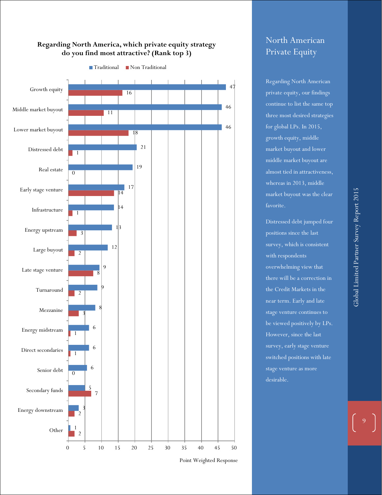#### **Regarding North America, which private equity strategy do you find most attractive? (Rank top 3)**



#### Traditional Non Traditional

Point Weighted Response

# North American Private Equity

Regarding North American the number of the same top of the same top of  $\frac{1}{\sqrt{2}}$ growth equity, middle middle market buyout are concerns large buyouts, market buyout was the clear private equity, our findings three most desired strategies for global LPs. In 2015, market buyout and lower almost tied in attractiveness, whereas in 2013, middle favorite.

Distressed debt jumped four positions since the last  $\text{survey},$  which is consistent with respondents overwhelming view that there will be a correction in the Credit Markets in the stage venture continues to stage venture as more near term. Early and late be viewed positively by LPs. However, since the last survey, early stage venture switched positions with late desirable.

of early stage venture.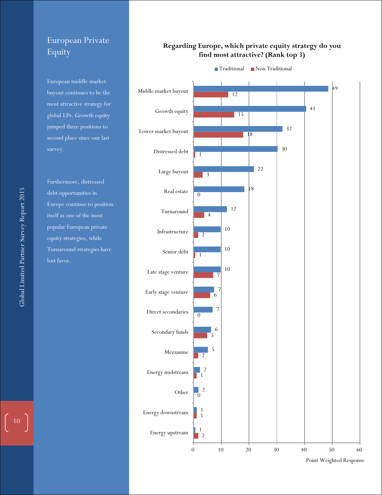# European Private Equity

European middle market buyout continues to be the most attractive strategy for global LPs. Growth equity jumped three positions to second place since our last

Furthermore, distressed debt opportunities in Europe continue to position itself as one of the most popular European private equity strategies, while Turnaround strategies have lost favor.

#### **Regarding Europe, which private equity strategy do you find most attractive? (Rank top 3)**



Global Limited Partner Survey Report 2015 Global Limited Partner Survey Report 2015

 $\boxed{10}$ 

Point Weighted Response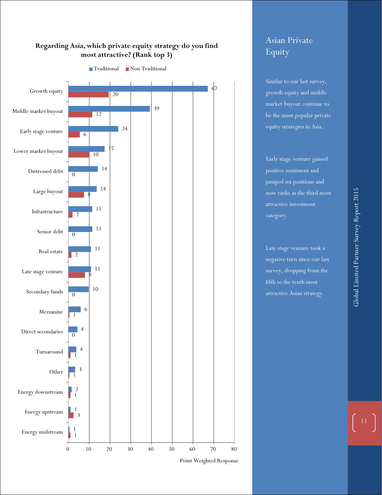



Point Weighted Response

# Asian Private Equity

Similar to our last survey, growth equity and middle market buyout continue to be the most popular private equity strategies in Asia.

Early stage venture gained positive sentiment and jumped six positions and now ranks as the third most attractive investment category.

Late stage venture took a negative turn since our last survey, dropping from the fifth to the tenth most attractive Asian strategy.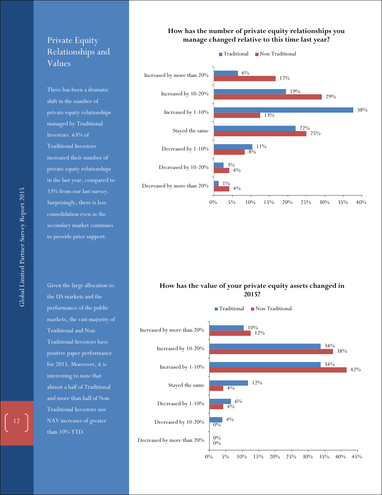# Private Equity Relationships and Values

There has been a dramatic shift in the number of private equity relationships managed by Traditional Investors. 63% of Traditional Investors increased their number of private equity relationships in the last year, compared to 33% from our last survey. Surprisingly, there is less consolidation even as the secondary market continues to provide price support.

Given the large allocation to the US markets and the performance of the public markets, the vast majority of Traditional and Non Traditional Investors have positive paper performance for 2015. Moreover, it is interesting to note that almost a half of Traditional and more than half of Non Traditional Investors saw NAV increases of greater than 10% YTD.

#### **How has the number of private equity relationships you manage changed relative to this time last year?**



![](_page_12_Figure_5.jpeg)

![](_page_12_Figure_6.jpeg)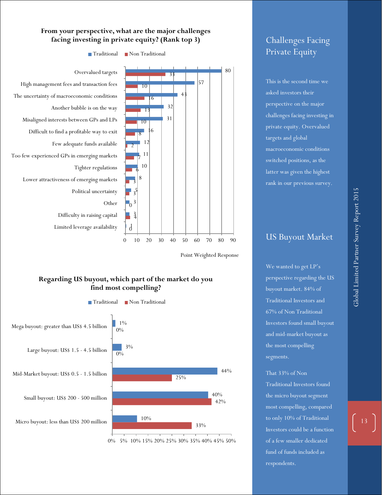#### **From your perspective, what are the major challenges facing investing in private equity? (Rank top 3)**

![](_page_13_Figure_1.jpeg)

Point Weighted Response

#### **Regarding US buyout, which part of the market do you find most compelling?**

![](_page_13_Figure_4.jpeg)

![](_page_13_Figure_5.jpeg)

# Challenges Facing Private Equity

This is the second time we asked investors their perspective on the major challenges facing investing in private equity. Overvalued targets and global macroeconomic conditions switched positions, as the latter was given the highest rank in our previous survey.

# US Buyout Market

We wanted to get LP's perspective regarding the US buyout market. 84% of Traditional Investors and 67% of Non Traditional Investors found small buyout and mid-market buyout as the most compelling segments.

That 33% of Non

Traditional Investors found the micro buyout segment most compelling, compared to only 10% of Traditional Investors could be a function of a few smaller dedicated fund of funds included as respondents.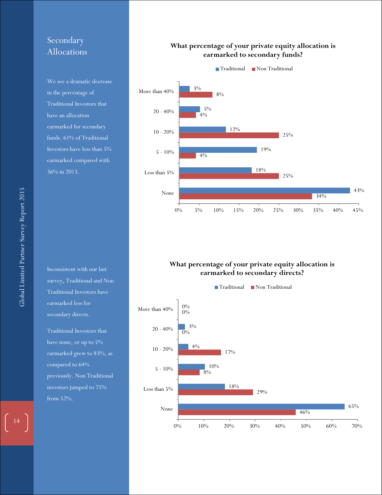# Secondary Allocations

We see a dramatic decrease in the percentage of Traditional Investors that have an allocation earmarked for secondary funds. 61% of Traditional Investors have less than 5% earmarked compared with 36% in 2013.

Inconsistent with our last survey, Traditional and Non Traditional Investors have earmarked less for secondary directs.

Traditional Investors that have none, or up to 5% earmarked grew to 83%, as compared to 64% previously. Non Traditional investors jumped to 75% from 52%.

#### **What percentage of your private equity allocation is earmarked to secondary funds?**

![](_page_14_Figure_5.jpeg)

#### **What percentage of your private equity allocation is earmarked to secondary directs?**

![](_page_14_Figure_7.jpeg)

 $\Big|$  14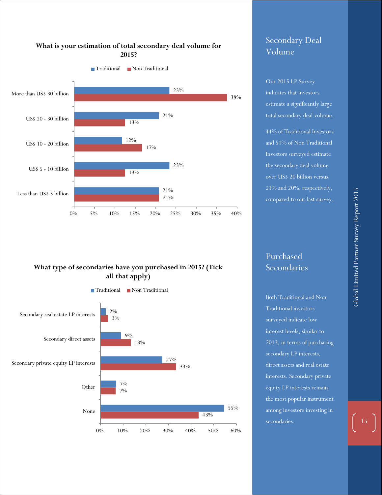#### **What is your estimation of total secondary deal volume for 2015?**

![](_page_15_Figure_1.jpeg)

#### **What type of secondaries have you purchased in 2015? (Tick all that apply)**

![](_page_15_Figure_3.jpeg)

# Secondary Deal Volume

Our 2015 LP Survey indicates that investors estimate a significantly large total secondary deal volume.

44% of Traditional Investors and 51% of Non Traditional Investors surveyed estimate the secondary deal volume over US\$ 20 billion versus 21% and 20%, respectively, compared to our last survey.

Purchased Secondaries

Both Traditional and Non Traditional investors surveyed indicate low interest levels, similar to 2013, in terms of purchasing secondary LP interests, direct assets and real estate interests. Secondary private equity LP interests remain the most popular instrument among investors investing in secondaries.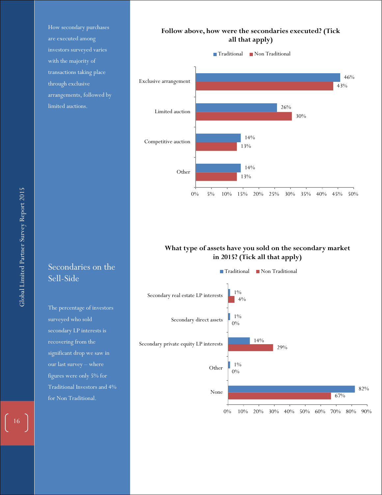How secondary purchases are executed among investors surveyed varies with the majority of transactions taking place through exclusive arrangements, followed by limited auctions.

# Secondaries on the Sell-Side

The percentage of investors surveyed who sold secondary LP interests is recovering from the significant drop we saw in our last survey – where figures were only 5% for Traditional Investors and 4% for Non Traditional.

#### **Follow above, how were the secondaries executed? (Tick all that apply)**

![](_page_16_Figure_4.jpeg)

#### **What type of assets have you sold on the secondary market in 2015? (Tick all that apply)**

![](_page_16_Figure_6.jpeg)

 $\boxed{16}$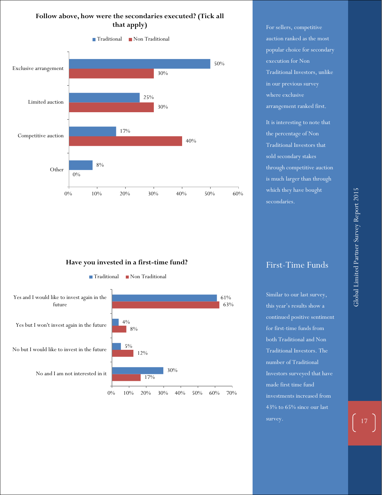#### **Follow above, how were the secondaries executed? (Tick all that apply)**

![](_page_17_Figure_1.jpeg)

**Have you invested in a first-time fund?**

![](_page_17_Figure_3.jpeg)

For sellers, competitive auction ranked as the most popular choice for secondary execution for Non Traditional Investors, unlike in our previous survey where exclusive arrangement ranked first. It is interesting to note that the percentage of Non Traditional Investors that sold secondary stakes through competitive auction is much larger than through which they have bought secondaries.

Global Limited Partner Survey Report 2015 Global Limited Partner Survey Report 2015

## First-Time Funds

Similar to our last survey, this year's results show a continued positive sentiment for first-time funds from both Traditional and Non Traditional Investors. The number of Traditional Investors surveyed that have made first time fund investments increased from 43% to 65% since our last survey.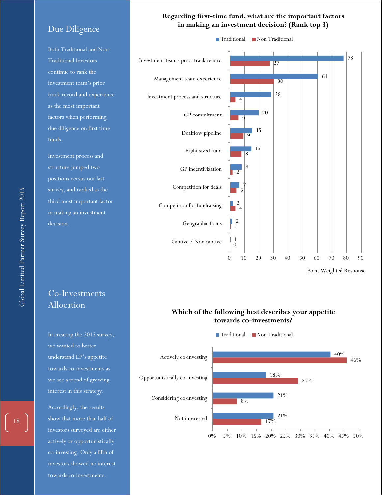#### Due Diligence

Both Traditional and Non-Traditional Investors continue to rank the investment team's prior track record and experience as the most important factors when performing due diligence on first time funds.

Investment process and structure jumped two positions versus our last survey, and ranked as the third most important factor in making an investment decision.

# Co-Investments Allocation

In creating the 2015 survey, we wanted to better understand LP's appetite towards co-investments as we see a trend of growing interest in this strategy.

Accordingly, the results show that more than half of investors surveyed are either actively or opportunistically co-investing. Only a fifth of investors showed no interest towards co-investments.

![](_page_18_Figure_6.jpeg)

![](_page_18_Figure_7.jpeg)

Point Weighted Response

#### **Which of the following best describes your appetite towards co-investments?**

![](_page_18_Figure_10.jpeg)

Global Limited Partner Survey Report 2015 Global Limited Partner Survey Report 2015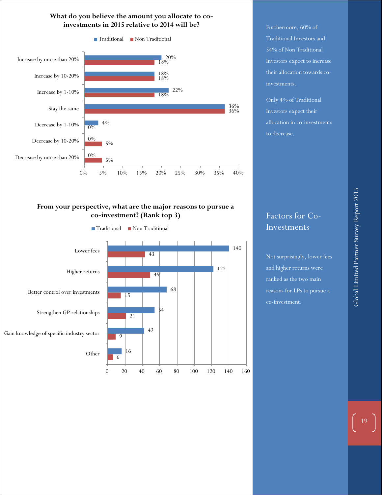#### **What do you believe the amount you allocate to coinvestments in 2015 relative to 2014 will be?**

![](_page_19_Figure_1.jpeg)

#### **From your perspective, what are the major reasons to pursue a co-investment? (Rank top 3)**

![](_page_19_Figure_3.jpeg)

Furthermore, 60% of Traditional Investors and 54% of Non Traditional Investors expect to increase their allocation towards coinvestments.

Only 4% of Traditional Investors expect their allocation in co-investments to decrease.

# Factors for Co-Investments

Not surprisingly, lower fees and higher returns were ranked as the two main reasons for LPs to pursue a co-investment.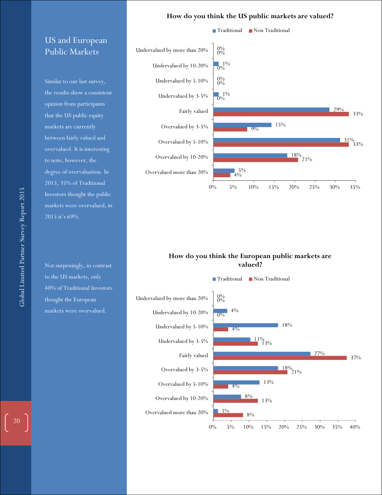#### **How do you think the US public markets are valued?**

# US and European Public Markets

Similar to our last survey, the results show a consistent opinion from participants that the US public equity markets are currently between fairly valued and overvalued. It is interesting to note, however, the degree of overvaluation. In 2013, 35% of Traditional Investors thought the public markets were overvalued, in 2015 it's 69%.

Not surprisingly, in contrast to the US markets, only 40% of Traditional Investors thought the European markets were overvalued.

![](_page_20_Figure_4.jpeg)

#### **How do you think the European public markets are valued?**

![](_page_20_Figure_6.jpeg)

■ Traditional ■ Non Traditional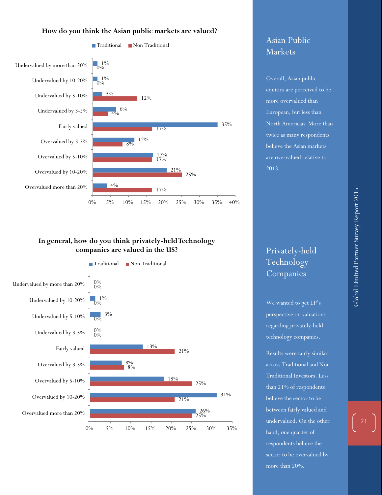![](_page_21_Figure_0.jpeg)

![](_page_21_Figure_1.jpeg)

# Asian Public Markets

Overall, Asian public equities are perceived to be more overvalued than European, but less than North American. More than twice as many respondents believe the Asian markets are overvalued relative to 2013.

#### **In general, how do you think privately-held Technology companies are valued in the US?**

![](_page_21_Figure_5.jpeg)

# Privately-held Technology Companies

We wanted to get LP's perspective on valuations regarding privately-held technology companies.

Results were fairly similar across Traditional and Non Traditional Investors. Less than 21% of respondents believe the sector to be between fairly valued and undervalued. On the other hand, one quarter of respondents believe the sector to be overvalued by more than 20%.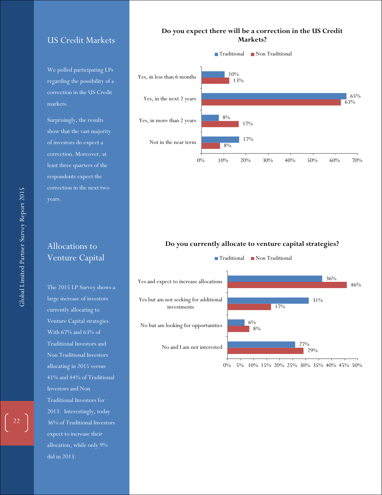## US Credit Markets

We polled participating LPs regarding the possibility of a correction in the US Credit markets.

Surprisingly, the results show that the vast majority of investors do expect a correction. Moreover, at least three quarters of the respondents expect the correction in the next two

## Allocations to Venture Capital

The 2015 LP Survey shows a large increase of investors currently allocating to Venture Capital strategies. With 67% and 63% of Traditional Investors and Non Traditional Investors allocating in 2015 versus 41% and 44% of Traditional Investors and Non Traditional Investors for 2013. Interestingly, today 36% of Traditional Investors expect to increase their allocation, while only 9% did in 2013.

#### **Do you expect there will be a correction in the US Credit Markets?**

![](_page_22_Figure_6.jpeg)

#### **Do you currently allocate to venture capital strategies?**

![](_page_22_Figure_8.jpeg)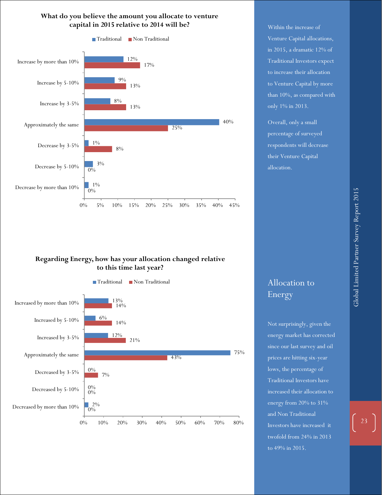#### **What do you believe the amount you allocate to venture capital in 2015 relative to 2014 will be?**

![](_page_23_Figure_1.jpeg)

#### **Regarding Energy, how has your allocation changed relative to this time last year?**

![](_page_23_Figure_3.jpeg)

Within the increase of Venture Capital allocations, in 2015, a dramatic 12% of Traditional Investors expect to increase their allocation to Venture Capital by more than 10%, as compared with only 1% in 2013.

Overall, only a small percentage of surveyed respondents will decrease their Venture Capital allocation.

Allocation to Energy

Not surprisingly, given the energy market has corrected since our last survey and oil prices are hitting six-year lows, the percentage of Traditional Investors have increased their allocation to energy from 20% to 31% and Non Traditional Investors have increased it twofold from 24% in 2013 to 49% in 2015.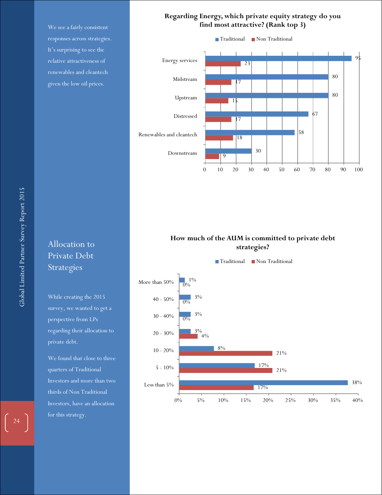We see a fairly consistent responses across strategies. It's surprising to see the relative attractiveness of renewables and cleantech given the low oil prices.

#### **Regarding Energy, which private equity strategy do you find most attractive? (Rank top 3)**

![](_page_24_Figure_2.jpeg)

**How much of the AUM is committed to private debt strategies?**

![](_page_24_Figure_4.jpeg)

# Allocation to Private Debt Strategies

While creating the 2015 survey, we wanted to get a perspective from LPs regarding their allocation to private debt.

We found that close to three quarters of Traditional Investors and more than two thirds of Non Traditional Investors, have an allocation for this strategy.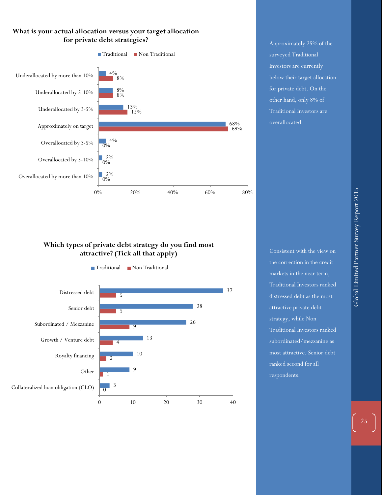![](_page_25_Figure_0.jpeg)

Approximately 25% of the surveyed Traditional Investors are currently below their target allocation for private debt. On the other hand, only 8% of Traditional Investors are overallocated.

#### **Which types of private debt strategy do you find most attractive? (Tick all that apply)**

![](_page_25_Figure_3.jpeg)

Consistent with the view on the correction in the credit markets in the near term, Traditional Investors ranked distressed debt as the most attractive private debt strategy, while Non Traditional Investors ranked subordinated/mezzanine as most attractive. Senior debt ranked second for all respondents.

Global Limited Partner Survey Report 2015 Global Limited Partner Survey Report 2015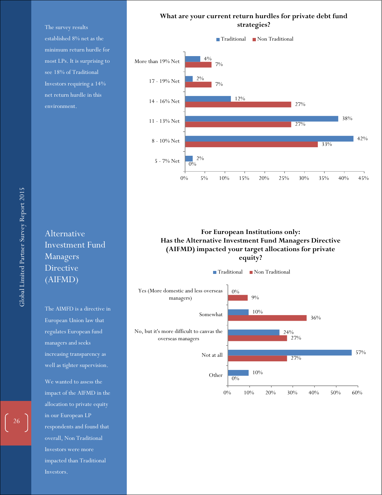The survey results established 8% net as the minimum return hurdle for most LPs. It is surprising to see 18% of Traditional Investors requiring a 14% net return hurdle in this environment.

![](_page_26_Figure_1.jpeg)

![](_page_26_Figure_2.jpeg)

#### **For European Institutions only: Has the Alternative Investment Fund Managers Directive (AIFMD) impacted your target allocations for private equity?**

![](_page_26_Figure_4.jpeg)

Alternative Investment Fund Managers Directive (AIFMD)

The AIMFD is a directive in European Union law that regulates European fund managers and seeks increasing transparency as well as tighter supervision.

We wanted to assess the impact of the AIFMD in the allocation to private equity in our European LP respondents and found that overall, Non Traditional Investors were more impacted than Traditional Investors.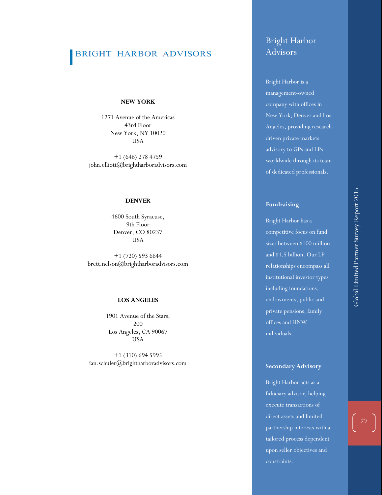# BRIGHT HARBOR ADVISORS

#### **NEW YORK**

1271 Avenue of the Americas 43rd Floor New York, NY 100 2 0 **USA** 

+1 (646) 278 4759 john.elliott@brightharboradvisors.com

#### **DENVER**

4600 South Syracuse, 9th Floor Denver, CO 80237 USA

+1 (720) 593 6644 brett.nelson@brightharboradvisors.com

#### **LOS ANGELES**

1901 Avenue of the Stars, 200 Los Angeles, CA 90067 USA

+1 (310) 694 5995 ian.schuler@brightharboradvisors.com

# Bright Harbor Advisors

Bright Harbor is a management -owned company with offices in New York, Denver and Los Angeles, providing research driven private markets advisory to GPs and LPs worldwide through its team of dedicated professionals.

#### **Fundraising**

Bright Harbor has a competitive focus on fund sizes between \$100 million and \$1.5 billion. Our LP relationships encompass all institutional investor types including foundations, endowments, public and private pensions, family offices and HNW individuals.

#### **Secondary Advisory**

Bright Harbor acts as a fiduciary advisor, helping execute transactions of direct assets and limited partnership interests with a tailored process dependent upon seller objectives and constraints.